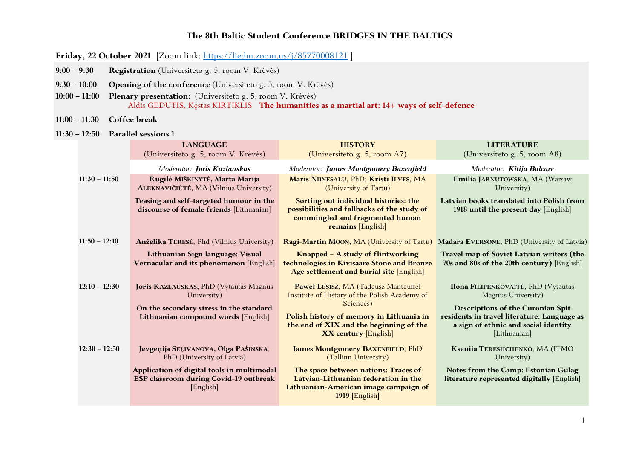# **The 8th Baltic Student Conference BRIDGES IN THE BALTICS**

- **Friday, 22 October 2021** [Zoom link: https://liedm.zoom.us/j/85770008121 ]
- **9:00 – 9:30 Registration** (Universiteto g. 5, room V. Krėvės)
- **9:30 – 10:00 Opening of the conference** (Universiteto g. 5, room V. Krėvės)
- **10:00 – 11:00 Plenary presentation:** (Universiteto g. 5, room V. Krėvės) Aldis GEDUTIS, Kęstas KIRTIKLIS **The humanities as a martial art: 14+ ways of self-defence**
- **11:00 – 11:30 Coffee break**
- **11:30 – 12:50 Parallel sessions 1**

|                 | <b>LANGUAGE</b><br>(Universiteto g. 5, room V. Krėvės)                                                                                  | <b>HISTORY</b><br>(Universite o g. 5, room $A7$ )                                                                                                                                                                        | <b>LITERATURE</b><br>(Universiteto g. 5, room A8)                                                                                                                                                            |
|-----------------|-----------------------------------------------------------------------------------------------------------------------------------------|--------------------------------------------------------------------------------------------------------------------------------------------------------------------------------------------------------------------------|--------------------------------------------------------------------------------------------------------------------------------------------------------------------------------------------------------------|
|                 | Moderator: Joris Kazlauskas                                                                                                             | Moderator: James Montgomery Baxenfield                                                                                                                                                                                   | Moderator: Kitija Balcare                                                                                                                                                                                    |
| $11:30 - 11:50$ | Rugilė MIŠKINYTĖ, Marta Marija<br>ALEKNAVIČIŪTĖ, MA (Vilnius University)                                                                | Maris NIINESALU, PhD; Kristi ILVES, MA<br>(University of Tartu)                                                                                                                                                          | Emilia JARNUTOWSKA, MA (Warsaw<br>University)                                                                                                                                                                |
|                 | Teasing and self-targeted humour in the<br>discourse of female friends [Lithuanian]                                                     | Sorting out individual histories: the<br>possibilities and fallbacks of the study of<br>commingled and fragmented human<br>remains [English]                                                                             | Latvian books translated into Polish from<br>1918 until the present day [English]                                                                                                                            |
| $11:50 - 12:10$ | Anželika TERESĖ, Phd (Vilnius University)                                                                                               | Ragi-Martin MOON, MA (University of Tartu)                                                                                                                                                                               | <b>Madara EVERSONE, PhD (University of Latvia)</b>                                                                                                                                                           |
|                 | Lithuanian Sign language: Visual<br>Vernacular and its phenomenon [English]                                                             | Knapped - A study of flintworking<br>technologies in Kivisaare Stone and Bronze<br>Age settlement and burial site [English]                                                                                              | Travel map of Soviet Latvian writers (the<br>70s and 80s of the 20th century) [English]                                                                                                                      |
| $12:10 - 12:30$ | Joris KAZLAUSKAS, PhD (Vytautas Magnus<br>University)<br>On the secondary stress in the standard<br>Lithuanian compound words [English] | Paweł LESISZ, MA (Tadeusz Manteuffel<br>Institute of History of the Polish Academy of<br>Sciences)<br>Polish history of memory in Lithuania in<br>the end of XIX and the beginning of the<br><b>XX century</b> [English] | <b>Ilona FILIPENKOVAITĖ, PhD (Vytautas</b><br>Magnus University)<br>Descriptions of the Curonian Spit<br>residents in travel literature: Language as<br>a sign of ethnic and social identity<br>[Lithuanian] |
| $12:30 - 12:50$ | Jevgenija SEĻIVANOVA, Olga PAŠINSKA,<br>PhD (University of Latvia)                                                                      | <b>James Montgomery BAXENFIELD, PhD</b><br>(Tallinn University)                                                                                                                                                          | Kseniia TERESHCHENKO, MA (ITMO<br>University)                                                                                                                                                                |
|                 | Application of digital tools in multimodal<br>ESP classroom during Covid-19 outbreak<br>[English]                                       | The space between nations: Traces of<br>Latvian-Lithuanian federation in the<br>Lithuanian-American image campaign of<br>1919 [English]                                                                                  | Notes from the Camp: Estonian Gulag<br>literature represented digitally [English]                                                                                                                            |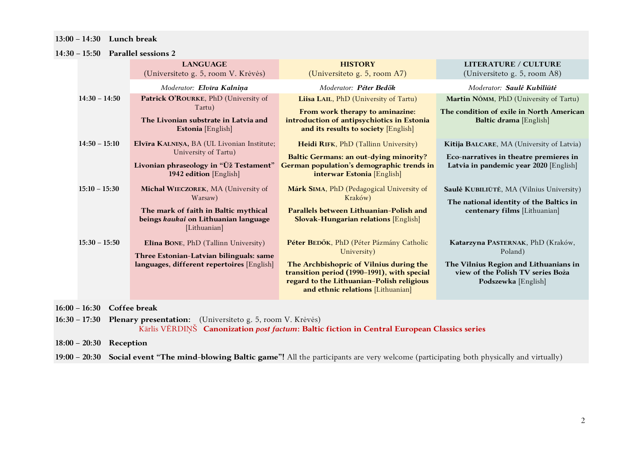## **13:00 – 14:30 Lunch break**

#### **14:30 – 15:50 Parallel sessions 2**

|                 | <b>LANGUAGE</b><br>(Universiteto g. 5, room V. Krėvės)                                                                                         | <b>HISTORY</b><br>(Universiteto g. 5, room A7)                                                                                                                                                                                      | <b>LITERATURE / CULTURE</b><br>(Universiteto g. 5, room A8)                                                                                       |
|-----------------|------------------------------------------------------------------------------------------------------------------------------------------------|-------------------------------------------------------------------------------------------------------------------------------------------------------------------------------------------------------------------------------------|---------------------------------------------------------------------------------------------------------------------------------------------------|
|                 | Moderator: Elvīra Kalniņa                                                                                                                      | Moderator: Péter Bedők                                                                                                                                                                                                              | Moderator: Saulė Kubiliūtė                                                                                                                        |
| $14:30 - 14:50$ | Patrick O'ROURKE, PhD (University of<br>Tartu)<br>The Livonian substrate in Latvia and<br>Estonia [English]                                    | Liisa LAIL, PhD (University of Tartu)<br>From work therapy to aminazine:<br>introduction of antipsychiotics in Estonia<br>and its results to society [English]                                                                      | Martin NÕMM, PhD (University of Tartu)<br>The condition of exile in North American<br>Baltic drama [English]                                      |
| $14:50 - 15:10$ | Elvīra KALNIŅA, BA (UL Livonian Institute;<br>University of Tartu)<br>Livonian phraseology in "Ūž Testament"<br>1942 edition [English]         | Heidi RIFK, PhD (Tallinn University)<br><b>Baltic Germans: an out-dying minority?</b><br>German population's demographic trends in<br>interwar Estonia [English]                                                                    | Kitija BALCARE, MA (University of Latvia)<br>Eco-narratives in theatre premieres in<br>Latvia in pandemic year 2020 [English]                     |
| $15:10 - 15:30$ | Michał WIECZOREK, MA (University of<br>Warsaw)<br>The mark of faith in Baltic mythical<br>beings kaukai on Lithuanian language<br>[Lithuanian] | Márk SIMA, PhD (Pedagogical University of<br>Kraków)<br>Parallels between Lithuanian-Polish and<br><b>Slovak-Hungarian relations [English]</b>                                                                                      | Saulė KUBILIŪTĖ, MA (Vilnius University)<br>The national identity of the Baltics in<br>centenary films [Lithuanian]                               |
| $15:30 - 15:50$ | Elīna BONE, PhD (Tallinn University)<br>Three Estonian-Latvian bilinguals: same<br>languages, different repertoires [English]                  | Péter BEDŐK, PhD (Péter Pázmány Catholic<br>University)<br>The Archbishopric of Vilnius during the<br>transition period (1990–1991), with special<br>regard to the Lithuanian-Polish religious<br>and ethnic relations [Lithuanian] | Katarzyna PASTERNAK, PhD (Kraków,<br>Poland)<br>The Vilnius Region and Lithuanians in<br>view of the Polish TV series Boża<br>Podszewka [English] |

**16:00 – 16:30 Coffee break**

**16:30 – 17:30 Plenary presentation:** (Universiteto g. 5, room V. Krėvės) Kārlis VĒRDIŅŠ **Canonization** *post factum***: Baltic fiction in Central European Classics series**

**18:00 – 20:30 Reception**

**19:00 – 20:30 Social event "The mind-blowing Baltic game"!** All the participants are very welcome (participating both physically and virtually)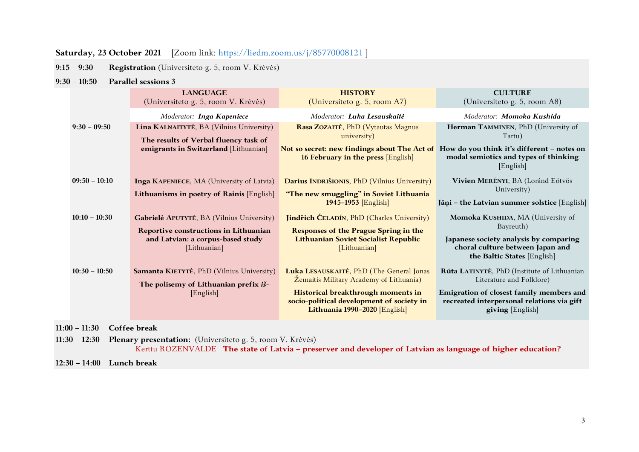# **Saturday, 23 October 2021** [Zoom link: https://liedm.zoom.us/j/85770008121 ]

**9:15 – 9:30 Registration** (Universiteto g. 5, room V. Krėvės)

#### **9:30 – 10:50 Parallel sessions 3**

|                 | <b>LANGUAGE</b><br>(Universiteto g. 5, room V. Krėvės)                                                                                  | <b>HISTORY</b><br>(Universiteto g. 5, room A7)                                                                                                                                                          | <b>CULTURE</b><br>(Universiteto g. 5, room A8)                                                                                                                                        |
|-----------------|-----------------------------------------------------------------------------------------------------------------------------------------|---------------------------------------------------------------------------------------------------------------------------------------------------------------------------------------------------------|---------------------------------------------------------------------------------------------------------------------------------------------------------------------------------------|
|                 | Moderator: Inga Kapeniece                                                                                                               | Moderator: Luka Lesauskaitė                                                                                                                                                                             | Moderator: Momoka Kushida                                                                                                                                                             |
| $9:30 - 09:50$  | Lina KALNAITYTĖ, BA (Vilnius University)<br>The results of Verbal fluency task of<br>emigrants in Switzerland [Lithuanian]              | Rasa ZOZAITĖ, PhD (Vytautas Magnus<br>university)<br>Not so secret: new findings about The Act of<br>16 February in the press [English]                                                                 | Herman TAMMINEN, PhD (University of<br>Tartu)<br>How do you think it's different - notes on<br>modal semiotics and types of thinking<br>[English]                                     |
| $09:50 - 10:10$ | <b>Inga KAPENIECE, MA (University of Latvia)</b><br>Lithuanisms in poetry of Rainis [English]                                           | Darius INDRIŠIONIS, PhD (Vilnius University)<br>"The new smuggling" in Soviet Lithuania<br>$1945 - 1953$ [English]                                                                                      | Vivien MERÉNYI, BA (Loránd Eötvös<br>University)<br>Jāņi - the Latvian summer solstice [English]                                                                                      |
| $10:10 - 10:30$ | Gabrielė APUTYTĖ, BA (Vilnius University)<br>Reportive constructions in Lithuanian<br>and Latvian: a corpus-based study<br>[Lithuanian] | <b>Jindřich ČELADÍN, PhD (Charles University)</b><br><b>Responses of the Prague Spring in the</b><br><b>Lithuanian Soviet Socialist Republic</b><br>[Lithuanian]                                        | Momoka KUSHIDA, MA (University of<br>Bayreuth)<br>Japanese society analysis by comparing<br>choral culture between Japan and<br>the Baltic States [English]                           |
| $10:30 - 10:50$ | Samanta KIETYTĖ, PhD (Vilnius University)<br>The polisemy of Lithuanian prefix is-<br>[English]                                         | Luka LESAUSKAITĖ, PhD (The General Jonas<br>Žemaitis Military Academy of Lithuania)<br>Historical breakthrough moments in<br>socio-political development of society in<br>Lithuania 1990-2020 [English] | Rūta LATINYTĖ, PhD (Institute of Lithuanian<br>Literature and Folklore)<br>Emigration of closest family members and<br>recreated interpersonal relations via gift<br>giving [English] |

**11:00 – 11:30 Coffee break**

**11:30 – 12:30 Plenary presentation:** (Universiteto g. 5, room V. Krėvės) Kerttu ROZENVALDE **The state of Latvia – preserver and developer of Latvian as language of higher education?**

**12:30 – 14:00 Lunch break**